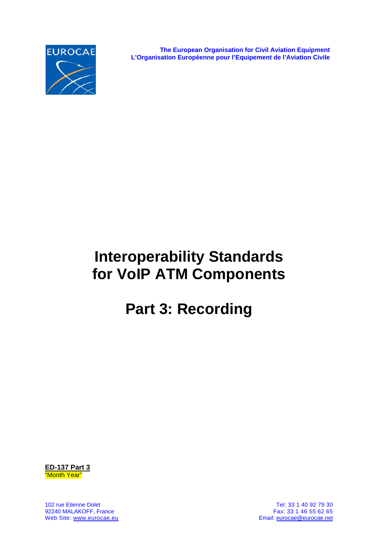

**The European Organisation for Civil Aviation Equipment L'Organisation Européenne pour l'Equipement de l'Aviation Civile**

# **Interoperability Standards for VoIP ATM Components**

# **Part 3: Recording**



102 rue Etienne Dolet Tel: 33 1 40 92 79 30 92240 MALAKOFF, France<br>Web Site: www.eurocae.eu

Email: eurocae@eurocae.net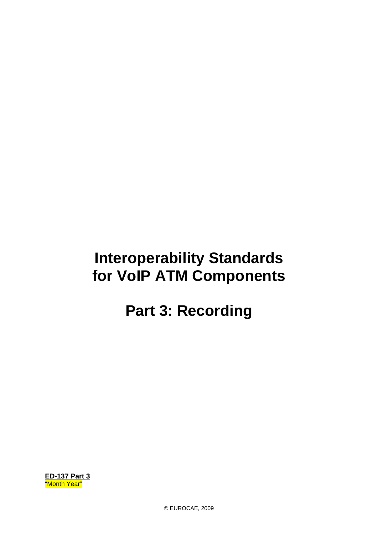## **Interoperability Standards for VoIP ATM Components**

## **Part 3: Recording**

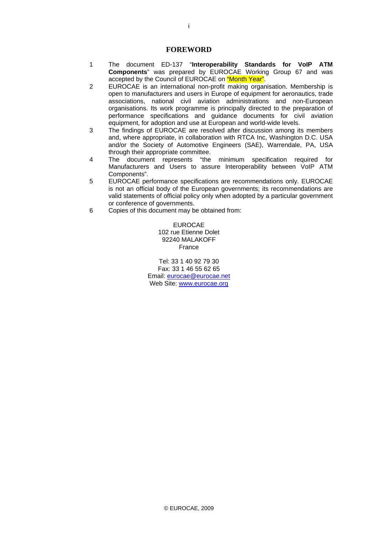#### **FOREWORD**

- 1 The document ED-137 "**Interoperability Standards for VoIP ATM Components**" was prepared by EUROCAE Working Group 67 and was accepted by the Council of EUROCAE on "Month Year".
- 2 EUROCAE is an international non-profit making organisation. Membership is open to manufacturers and users in Europe of equipment for aeronautics, trade associations, national civil aviation administrations and non-European organisations. Its work programme is principally directed to the preparation of performance specifications and guidance documents for civil aviation equipment, for adoption and use at European and world-wide levels.
- 3 The findings of EUROCAE are resolved after discussion among its members and, where appropriate, in collaboration with RTCA Inc, Washington D.C. USA and/or the Society of Automotive Engineers (SAE), Warrendale, PA, USA through their appropriate committee.
- 4 The document represents "the minimum specification required for Manufacturers and Users to assure Interoperability between VoIP ATM Components".
- 5 EUROCAE performance specifications are recommendations only. EUROCAE is not an official body of the European governments; its recommendations are valid statements of official policy only when adopted by a particular government or conference of governments.
- 6 Copies of this document may be obtained from:

EUROCAE 102 rue Etienne Dolet 92240 MALAKOFF France

Tel: 33 1 40 92 79 30 Fax: 33 1 46 55 62 65 Email: eurocae@eurocae.net Web Site: www.eurocae.org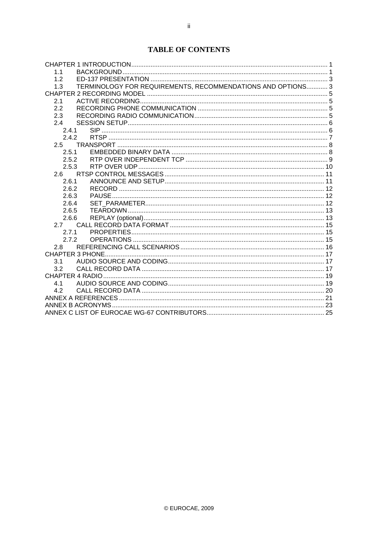## **TABLE OF CONTENTS**

| 1 <sub>1</sub>                                                     |  |
|--------------------------------------------------------------------|--|
| 1.2                                                                |  |
| TERMINOLOGY FOR REQUIREMENTS, RECOMMENDATIONS AND OPTIONS 3<br>1.3 |  |
|                                                                    |  |
| 2.1                                                                |  |
| 2.2                                                                |  |
| 2.3                                                                |  |
| 2.4                                                                |  |
| 241                                                                |  |
| 2.4.2                                                              |  |
| 2.5                                                                |  |
| 2.5.1                                                              |  |
| 2.5.2                                                              |  |
| 2.5.3                                                              |  |
| 2.6                                                                |  |
| 2.6.1                                                              |  |
| 2.6.2                                                              |  |
| 2.6.3                                                              |  |
| 2.6.4                                                              |  |
| 2.6.5                                                              |  |
| 2.6.6                                                              |  |
| 2.7                                                                |  |
| 2.7.1                                                              |  |
| $272$                                                              |  |
| 2.8                                                                |  |
|                                                                    |  |
| 3.1                                                                |  |
| 3.2                                                                |  |
|                                                                    |  |
| 4.1                                                                |  |
| 4.2                                                                |  |
|                                                                    |  |
|                                                                    |  |
|                                                                    |  |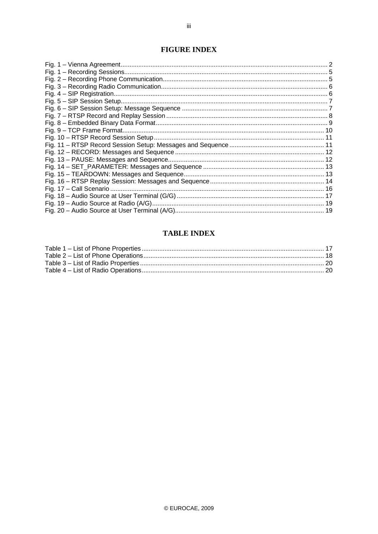## **FIGURE INDEX**

## **TABLE INDEX**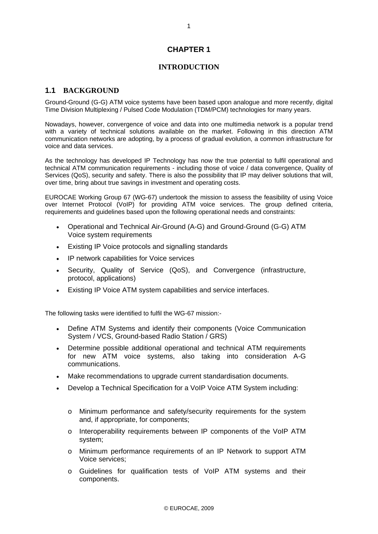## **CHAPTER 1**

## **INTRODUCTION**

## **1.1 BACKGROUND**

Ground-Ground (G-G) ATM voice systems have been based upon analogue and more recently, digital Time Division Multiplexing / Pulsed Code Modulation (TDM/PCM) technologies for many years.

Nowadays, however, convergence of voice and data into one multimedia network is a popular trend with a variety of technical solutions available on the market. Following in this direction ATM communication networks are adopting, by a process of gradual evolution, a common infrastructure for voice and data services.

As the technology has developed IP Technology has now the true potential to fulfil operational and technical ATM communication requirements - including those of voice / data convergence, Quality of Services (QoS), security and safety. There is also the possibility that IP may deliver solutions that will, over time, bring about true savings in investment and operating costs.

EUROCAE Working Group 67 (WG-67) undertook the mission to assess the feasibility of using Voice over Internet Protocol (VoIP) for providing ATM voice services. The group defined criteria, requirements and guidelines based upon the following operational needs and constraints:

- Operational and Technical Air-Ground (A-G) and Ground-Ground (G-G) ATM Voice system requirements
- Existing IP Voice protocols and signalling standards
- IP network capabilities for Voice services
- Security, Quality of Service (QoS), and Convergence (infrastructure, protocol, applications)
- Existing IP Voice ATM system capabilities and service interfaces.

The following tasks were identified to fulfil the WG-67 mission:-

- Define ATM Systems and identify their components (Voice Communication System / VCS, Ground-based Radio Station / GRS)
- Determine possible additional operational and technical ATM requirements for new ATM voice systems, also taking into consideration A-G communications.
- Make recommendations to upgrade current standardisation documents.
- Develop a Technical Specification for a VoIP Voice ATM System including:
	- o Minimum performance and safety/security requirements for the system and, if appropriate, for components;
	- o Interoperability requirements between IP components of the VoIP ATM system;
	- o Minimum performance requirements of an IP Network to support ATM Voice services;
	- o Guidelines for qualification tests of VoIP ATM systems and their components.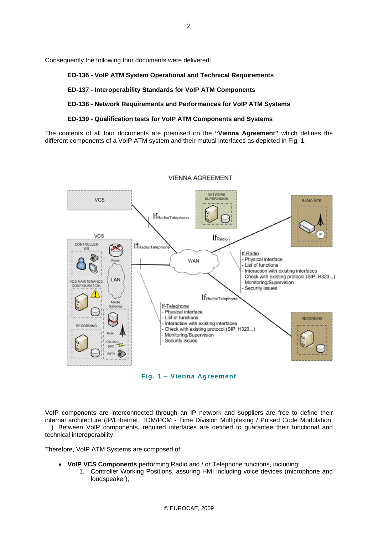Consequently the following four documents were delivered:

#### **ED-136 - VoIP ATM System Operational and Technical Requirements**

#### **ED-137 - Interoperability Standards for VoIP ATM Components**

#### **ED-138 - Network Requirements and Performances for VoIP ATM Systems**

#### **ED-139 - Qualification tests for VoIP ATM Components and Systems**

The contents of all four documents are premised on the **"Vienna Agreement"** which defines the different components of a VoIP ATM system and their mutual interfaces as depicted in Fig. 1.



#### **VIENNA AGREEMENT**

**Fig. 1 – Vienna Agreement** 

VoIP components are interconnected through an IP network and suppliers are free to define their internal architecture (IP/Ethernet, TDM/PCM - Time Division Multiplexing / Pulsed Code Modulation, …). Between VoIP components, required interfaces are defined to guarantee their functional and technical interoperability.

Therefore, VoIP ATM Systems are composed of:

- **VoIP VCS Components** performing Radio and / or Telephone functions, including:
	- 1. Controller Working Positions, assuring HMI including voice devices (microphone and loudspeaker);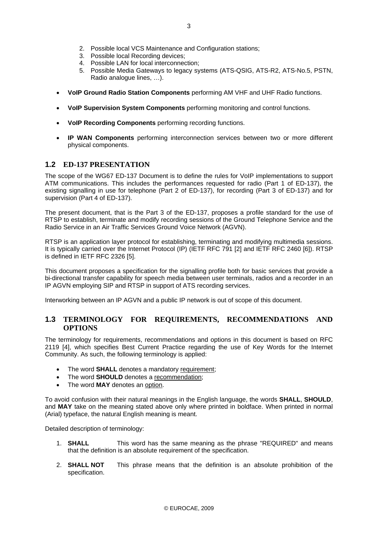- 3. Possible local Recording devices;
- 4. Possible LAN for local interconnection;
- 5. Possible Media Gateways to legacy systems (ATS-QSIG, ATS-R2, ATS-No.5, PSTN, Radio analogue lines, …).
- **VoIP Ground Radio Station Components** performing AM VHF and UHF Radio functions.
- **VoIP Supervision System Components** performing monitoring and control functions.
- **VoIP Recording Components** performing recording functions.
- **IP WAN Components** performing interconnection services between two or more different physical components.

#### **1.2 ED-137 PRESENTATION**

The scope of the WG67 ED-137 Document is to define the rules for VoIP implementations to support ATM communications. This includes the performances requested for radio (Part 1 of ED-137), the existing signalling in use for telephone (Part 2 of ED-137), for recording (Part 3 of ED-137) and for supervision (Part 4 of ED-137).

The present document, that is the Part 3 of the ED-137, proposes a profile standard for the use of RTSP to establish, terminate and modify recording sessions of the Ground Telephone Service and the Radio Service in an Air Traffic Services Ground Voice Network (AGVN).

RTSP is an application layer protocol for establishing, terminating and modifying multimedia sessions. It is typically carried over the Internet Protocol (IP) (IETF RFC 791 [2] and IETF RFC 2460 [6]). RTSP is defined in IETF RFC 2326 [5].

This document proposes a specification for the signalling profile both for basic services that provide a bi-directional transfer capability for speech media between user terminals, radios and a recorder in an IP AGVN employing SIP and RTSP in support of ATS recording services.

Interworking between an IP AGVN and a public IP network is out of scope of this document.

#### **1.3 TERMINOLOGY FOR REQUIREMENTS, RECOMMENDATIONS AND OPTIONS**

The terminology for requirements, recommendations and options in this document is based on RFC 2119 [4], which specifies Best Current Practice regarding the use of Key Words for the Internet Community. As such, the following terminology is applied:

- The word **SHALL** denotes a mandatory requirement;
- The word **SHOULD** denotes a recommendation;
- The word **MAY** denotes an option.

To avoid confusion with their natural meanings in the English language, the words **SHALL**, **SHOULD**, and **MAY** take on the meaning stated above only where printed in boldface. When printed in normal (Arial) typeface, the natural English meaning is meant.

Detailed description of terminology:

- 1. **SHALL** This word has the same meaning as the phrase "REQUIRED" and means that the definition is an absolute requirement of the specification.
- 2. **SHALL NOT** This phrase means that the definition is an absolute prohibition of the specification.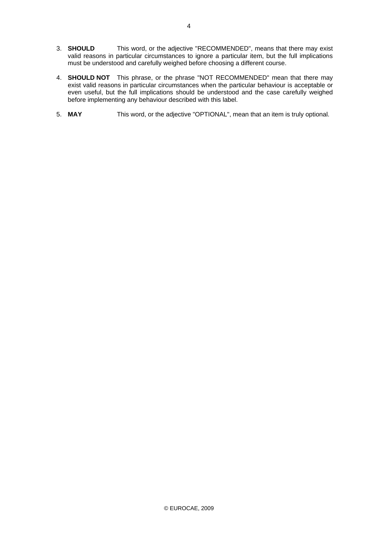- 3. **SHOULD** This word, or the adjective "RECOMMENDED", means that there may exist valid reasons in particular circumstances to ignore a particular item, but the full implications must be understood and carefully weighed before choosing a different course.
- 4. **SHOULD NOT** This phrase, or the phrase "NOT RECOMMENDED" mean that there may exist valid reasons in particular circumstances when the particular behaviour is acceptable or even useful, but the full implications should be understood and the case carefully weighed before implementing any behaviour described with this label.
- 5. **MAY** This word, or the adjective "OPTIONAL", mean that an item is truly optional.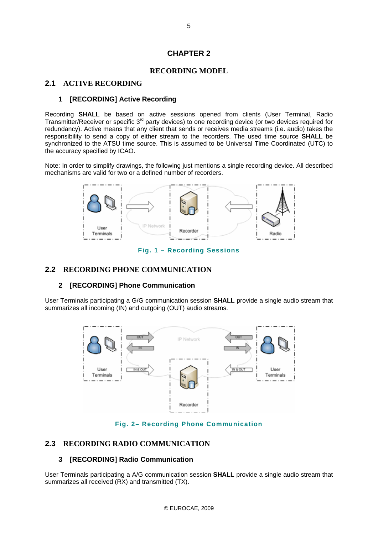## **CHAPTER 2**

#### **RECORDING MODEL**

#### **2.1 ACTIVE RECORDING**

#### **1 [RECORDING] Active Recording**

Recording **SHALL** be based on active sessions opened from clients (User Terminal, Radio Transmitter/Receiver or specific 3<sup>rd</sup> party devices) to one recording device (or two devices required for redundancy). Active means that any client that sends or receives media streams (i.e. audio) takes the responsibility to send a copy of either stream to the recorders. The used time source **SHALL** be synchronized to the ATSU time source. This is assumed to be Universal Time Coordinated (UTC) to the accuracy specified by ICAO.

Note: In order to simplify drawings, the following just mentions a single recording device. All described mechanisms are valid for two or a defined number of recorders.



**Fig. 1 – Recording Sessions** 

#### **2.2 RECORDING PHONE COMMUNICATION**

#### **2 [RECORDING] Phone Communication**

User Terminals participating a G/G communication session **SHALL** provide a single audio stream that summarizes all incoming (IN) and outgoing (OUT) audio streams.



**Fig. 2– Recording Phone Communication** 

#### **2.3 RECORDING RADIO COMMUNICATION**

#### **3 [RECORDING] Radio Communication**

User Terminals participating a A/G communication session **SHALL** provide a single audio stream that summarizes all received (RX) and transmitted (TX).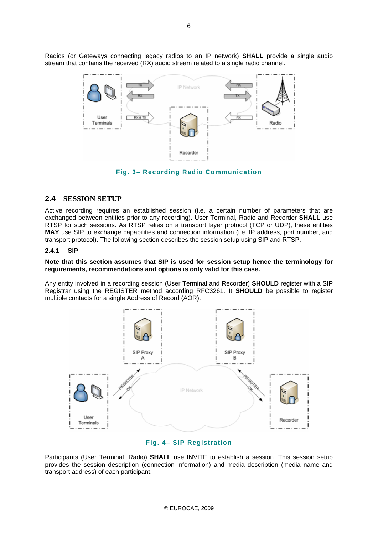Radios (or Gateways connecting legacy radios to an IP network) **SHALL** provide a single audio stream that contains the received (RX) audio stream related to a single radio channel.



**Fig. 3– Recording Radio Communication** 

#### **2.4 SESSION SETUP**

Active recording requires an established session (i.e. a certain number of parameters that are exchanged between entities prior to any recording). User Terminal, Radio and Recorder **SHALL** use RTSP for such sessions. As RTSP relies on a transport layer protocol (TCP or UDP), these entities **MAY** use SIP to exchange capabilities and connection information (i.e. IP address, port number, and transport protocol). The following section describes the session setup using SIP and RTSP.

#### **2.4.1 SIP**

#### **Note that this section assumes that SIP is used for session setup hence the terminology for requirements, recommendations and options is only valid for this case.**

Any entity involved in a recording session (User Terminal and Recorder) **SHOULD** register with a SIP Registrar using the REGISTER method according RFC3261. It **SHOULD** be possible to register multiple contacts for a single Address of Record (AOR).



#### **Fig. 4– SIP Registration**

Participants (User Terminal, Radio) **SHALL** use INVITE to establish a session. This session setup provides the session description (connection information) and media description (media name and transport address) of each participant.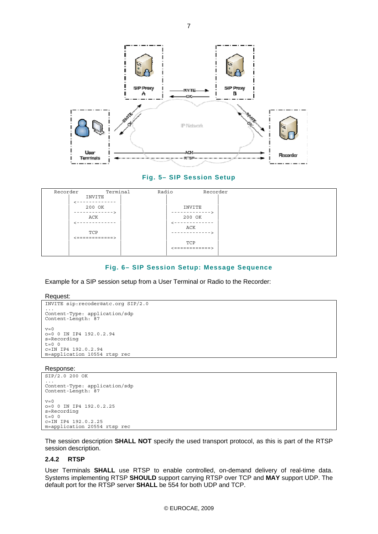

#### **Fig. 5– SIP Session Setup**

| Recorder | Terminal              | Radio | Recorder          |  |
|----------|-----------------------|-------|-------------------|--|
|          | INVITE                |       |                   |  |
|          |                       |       |                   |  |
|          | 200 OK<br>----------- |       | INVITE<br>------- |  |
|          | ACK                   |       | 200 OK            |  |
|          |                       |       |                   |  |
|          |                       |       | ACK               |  |
|          | TCP                   |       | -------           |  |
|          | <============>        |       | TCP               |  |
|          |                       |       | .==========>      |  |
|          |                       |       |                   |  |

#### **Fig. 6– SIP Session Setup: Message Sequence**

Example for a SIP session setup from a User Terminal or Radio to the Recorder:

Request:

```
INVITE sip:recoder@atc.org SIP/2.0 
... 
Content-Type: application/sdp 
Content-Length: 87 
v=0o=0 0 IN IP4 192.0.2.94 
s=Recording 
t=0 0
c=IN IP4 192.0.2.94 
m=application 10554 rtsp rec
```
Response:

```
SIP/2.0 200 OK 
... 
Content-Type: application/sdp 
Content-Length: 87 

v=0o=0 0 IN IP4 192.0.2.25 
s=Recording 
t=0 0
c=IN IP4 192.0.2.25 
m=application 20554 rtsp rec
```
The session description **SHALL NOT** specify the used transport protocol, as this is part of the RTSP session description.

#### **2.4.2 RTSP**

User Terminals **SHALL** use RTSP to enable controlled, on-demand delivery of real-time data. Systems implementing RTSP **SHOULD** support carrying RTSP over TCP and **MAY** support UDP. The default port for the RTSP server **SHALL** be 554 for both UDP and TCP.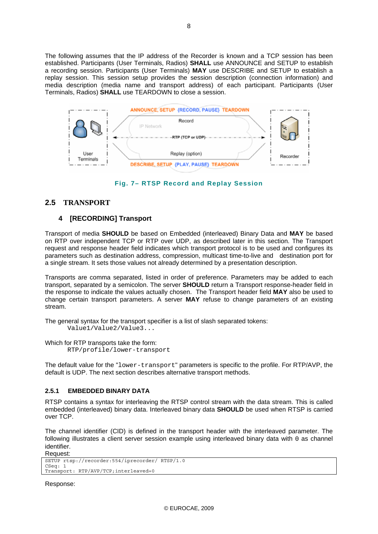The following assumes that the IP address of the Recorder is known and a TCP session has been established. Participants (User Terminals, Radios) **SHALL** use ANNOUNCE and SETUP to establish a recording session. Participants (User Terminals) **MAY** use DESCRIBE and SETUP to establish a replay session. This session setup provides the session description (connection information) and media description (media name and transport address) of each participant. Participants (User Terminals, Radios) **SHALL** use TEARDOWN to close a session.



**Fig. 7– RTSP Record and Replay Session** 

## **2.5 TRANSPORT**

## **4 [RECORDING] Transport**

Transport of media **SHOULD** be based on Embedded (interleaved) Binary Data and **MAY** be based on RTP over independent TCP or RTP over UDP, as described later in this section. The Transport request and response header field indicates which transport protocol is to be used and configures its parameters such as destination address, compression, multicast time-to-live and destination port for a single stream. It sets those values not already determined by a presentation description.

Transports are comma separated, listed in order of preference. Parameters may be added to each transport, separated by a semicolon. The server **SHOULD** return a Transport response-header field in the response to indicate the values actually chosen. The Transport header field **MAY** also be used to change certain transport parameters. A server **MAY** refuse to change parameters of an existing stream.

The general syntax for the transport specifier is a list of slash separated tokens: Value1/Value2/Value3...

Which for RTP transports take the form: RTP/profile/lower-transport

The default value for the "lower-transport" parameters is specific to the profile. For RTP/AVP, the default is UDP. The next section describes alternative transport methods.

#### **2.5.1 EMBEDDED BINARY DATA**

RTSP contains a syntax for interleaving the RTSP control stream with the data stream. This is called embedded (interleaved) binary data. Interleaved binary data **SHOULD** be used when RTSP is carried over TCP.

The channel identifier (CID) is defined in the transport header with the interleaved parameter. The following illustrates a client server session example using interleaved binary data with 0 as channel identifier. Request:

```
SETUP rtsp://recorder:554/iprecorder/ RTSP/1.0 
CSeq: 1 
Transport: RTP/AVP/TCP;interleaved=0
```
Response: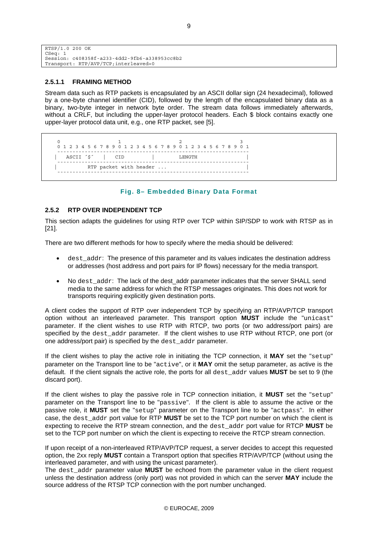```
RTSP/1.0 200 OK 
CSeq:
Session: c408358f-a233-4dd2-9fb6-a338953cc8b2 
Transport: RTP/AVP/TCP;interleaved=0
```
#### **2.5.1.1 FRAMING METHOD**

Stream data such as RTP packets is encapsulated by an ASCII dollar sign (24 hexadecimal), followed by a one-byte channel identifier (CID), followed by the length of the encapsulated binary data as a binary, two-byte integer in network byte order. The stream data follows immediately afterwards, without a CRLF, but including the upper-layer protocol headers. Each \$ block contains exactly one upper-layer protocol data unit, e.g., one RTP packet, see [5].

0 1 2 3 4 5 6 7 8 9 0 1 2 3 4 5 6 7 8 9 0 1 2 3 4 5 6 7 8 9 0 1 2 3 4 5 6 7 8 9 0 1 --------------------------------------------------------------- | ASCII ´\$´ | CID | LENGTH | --------------------------------------------------------------- RTP packet with header ... ---------------------------------------------------------------

#### **Fig. 8– Embedded Binary Data Format**

#### **2.5.2 RTP OVER INDEPENDENT TCP**

This section adapts the guidelines for using RTP over TCP within SIP/SDP to work with RTSP as in [21].

There are two different methods for how to specify where the media should be delivered:

- dest\_addr: The presence of this parameter and its values indicates the destination address or addresses (host address and port pairs for IP flows) necessary for the media transport.
- No dest addr: The lack of the dest addr parameter indicates that the server SHALL send media to the same address for which the RTSP messages originates. This does not work for transports requiring explicitly given destination ports.

A client codes the support of RTP over independent TCP by specifying an RTP/AVP/TCP transport option without an interleaved parameter. This transport option **MUST** include the "unicast" parameter. If the client wishes to use RTP with RTCP, two ports (or two address/port pairs) are specified by the dest\_addr parameter. If the client wishes to use RTP without RTCP, one port (or one address/port pair) is specified by the dest\_addr parameter.

If the client wishes to play the active role in initiating the TCP connection, it **MAY** set the "setup" parameter on the Transport line to be "active", or it **MAY** omit the setup parameter, as active is the default. If the client signals the active role, the ports for all dest\_addr values **MUST** be set to 9 (the discard port).

If the client wishes to play the passive role in TCP connection initiation, it **MUST** set the "setup" parameter on the Transport line to be "passive". If the client is able to assume the active or the passive role, it **MUST** set the "setup" parameter on the Transport line to be "actpass". In either case, the dest\_addr port value for RTP **MUST** be set to the TCP port number on which the client is expecting to receive the RTP stream connection, and the dest\_addr port value for RTCP **MUST** be set to the TCP port number on which the client is expecting to receive the RTCP stream connection.

If upon receipt of a non-interleaved RTP/AVP/TCP request, a server decides to accept this requested option, the 2xx reply **MUST** contain a Transport option that specifies RTP/AVP/TCP (without using the interleaved parameter, and with using the unicast parameter).

The dest addr parameter value **MUST** be echoed from the parameter value in the client request unless the destination address (only port) was not provided in which can the server **MAY** include the source address of the RTSP TCP connection with the port number unchanged.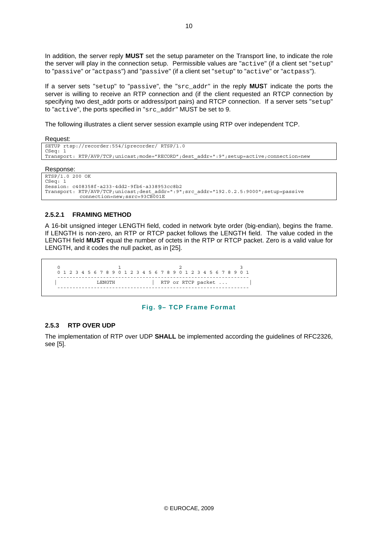In addition, the server reply **MUST** set the setup parameter on the Transport line, to indicate the role the server will play in the connection setup. Permissible values are "active" (if a client set "setup" to "passive" or "actpass") and "passive" (if a client set "setup" to "active" or "actpass").

If a server sets "setup" to "passive", the "src\_addr" in the reply **MUS**T indicate the ports the server is willing to receive an RTP connection and (if the client requested an RTCP connection by specifying two dest addr ports or address/port pairs) and RTCP connection. If a server sets "setup" to "active", the ports specified in "src\_addr" MUST be set to 9.

The following illustrates a client server session example using RTP over independent TCP.

Request:

```
SETUP rtsp://recorder:554/iprecorder/ RTSP/1.0 
CSeq: 1 
Transport: RTP/AVP/TCP;unicast;mode="RECORD";dest_addr=":9";setup=active;connection=new 
Response: 
RTSP/1.0 200 OK 
CSeq:
```

```
Session: c408358f-a233-4dd2-9fb6-a338953cc8b2 
Transport: RTP/AVP/TCP;unicast;dest_addr=":9";src_addr="192.0.2.5:9000";setup=passive 
            connection=new;ssrc=93CB001E
```
#### **2.5.2.1 FRAMING METHOD**

A 16-bit unsigned integer LENGTH field, coded in network byte order (big-endian), begins the frame. If LENGTH is non-zero, an RTP or RTCP packet follows the LENGTH field. The value coded in the LENGTH field **MUST** equal the number of octets in the RTP or RTCP packet. Zero is a valid value for LENGTH, and it codes the null packet, as in [25].

```
0 1 2 3
 0 1 2 3 4 5 6 7 8 9 0 1 2 3 4 5 6 7 8 9 0 1 2 3 4 5 6 7 8 9 0 1 
 --------------------------------------------------------------- 
              | LENGTH | RTP or RTCP packet ... | 
            ---------------------------------------------------------------
```
#### **Fig. 9– TCP Frame Format**

#### **2.5.3 RTP OVER UDP**

The implementation of RTP over UDP **SHALL** be implemented according the guidelines of RFC2326, see [5].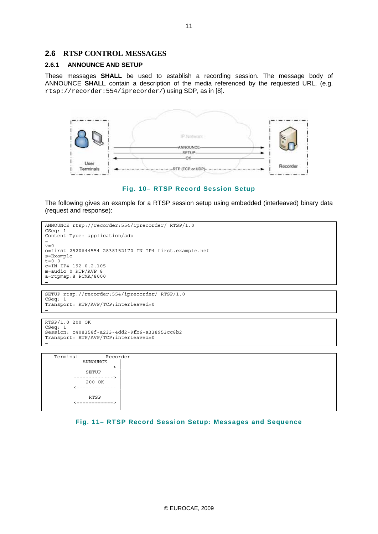#### **2.6 RTSP CONTROL MESSAGES**

#### **2.6.1 ANNOUNCE AND SETUP**

These messages **SHALL** be used to establish a recording session. The message body of ANNOUNCE **SHALL** contain a description of the media referenced by the requested URL, (e.g. rtsp://recorder:554/iprecorder/) using SDP, as in [8].





The following gives an example for a RTSP session setup using embedded (interleaved) binary data (request and response):

```
ANNOUNCE rtsp://recorder:554/iprecorder/ RTSP/1.0 
CSeq: 1 
Content-Type: application/sdp 
...<br>v=0
o=first 2520644554 2838152170 IN IP4 first.example.net 
s=Example 
t=0 0
c=IN IP4 192.0.2.105 
m=audio 0 RTP/AVP 8 
a=rtpmap:8 PCMA/8000 
…
```

```
SETUP rtsp://recorder:554/iprecorder/ RTSP/1.0 
CSeq: 1 
Transport: RTP/AVP/TCP;interleaved=0 
…
```

```
RTSP/1.0 200 OK 
CSeq: 1 
Session: c408358f-a233-4dd2-9fb6-a338953cc8b2 
Transport: RTP/AVP/TCP;interleaved=0 
…
```
 Terminal Recorder | ANNOUNCE | | -------------> | | SETUP | | -------------> | | 200 OK |  $2 - - - - - - - - -$  | | | RTSP | | <============> | | |

**Fig. 11– RTSP Record Session Setup: Messages and Sequence**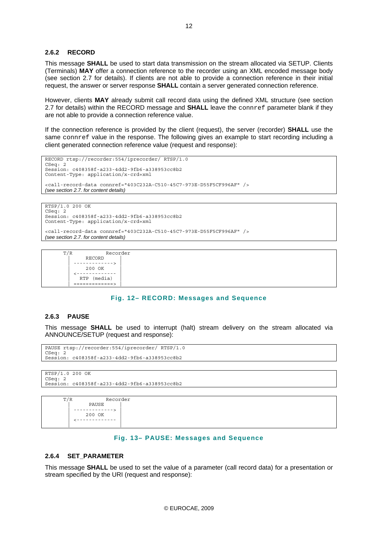#### **2.6.2 RECORD**

This message **SHALL** be used to start data transmission on the stream allocated via SETUP. Clients (Terminals) **MAY** offer a connection reference to the recorder using an XML encoded message body (see section 2.7 for details). If clients are not able to provide a connection reference in their initial request, the answer or server response **SHALL** contain a server generated connection reference.

However, clients **MAY** already submit call record data using the defined XML structure (see section 2.7 for details) within the RECORD message and **SHALL** leave the connref parameter blank if they are not able to provide a connection reference value.

If the connection reference is provided by the client (request), the server (recorder) **SHALL** use the same connref value in the response. The following gives an example to start recording including a client generated connection reference value (request and response):

```
RECORD rtsp://recorder:554/iprecorder/ RTSP/1.0 
CSeq: 2 
Session: c408358f-a233-4dd2-9fb6-a338953cc8b2 
Content-Type: application/x-crd+xml 
<call-record-data connref="403C232A-C510-45C7-973E-D55F5CF996AF" /> 
(see section 2.7. for content details)
```

```
RTSP/1.0 200 OK 
CSeq: 2 
Session: c408358f-a233-4dd2-9fb6-a338953cc8b2 
Content-Type: application/x-crd+xml
```
<call-record-data connref="403C232A-C510-45C7-973E-D55F5CF996AF" />

*(see section 2.7. for content details)* 

| T/R | Recorder    |
|-----|-------------|
|     | RECORD      |
|     |             |
|     | 200 OK      |
|     |             |
|     | RTP (media) |
|     |             |

#### **Fig. 12– RECORD: Messages and Sequence**

#### **2.6.3 PAUSE**

This message **SHALL** be used to interrupt (halt) stream delivery on the stream allocated via ANNOUNCE/SETUP (request and response):

```
PAUSE rtsp://recorder:554/iprecorder/ RTSP/1.0 
CSeq: 2
Session: c408358f-a233-4dd2-9fb6-a338953cc8b2
```

```
RTSP/1.0 200 OK 
CSeq: 2<br>Session:
            Session: c408358f-a233-4dd2-9fb6-a338953cc8b2
```

```
 T/R Recorder 
              | PAUSE | 
 | -------------> | 
            200 OK = = = = = = = = =
          | <------------- | 
 | |
```
#### **Fig. 13– PAUSE: Messages and Sequence**

#### **2.6.4 SET\_PARAMETER**

This message **SHALL** be used to set the value of a parameter (call record data) for a presentation or stream specified by the URI (request and response):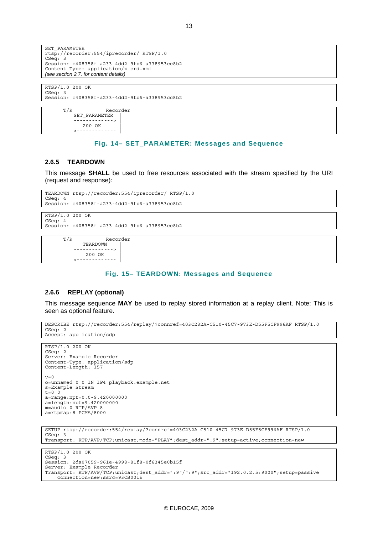```
SET_PARAMETER 
rtsp://recorder:554/iprecorder/ RTSP/1.0 
CSeq: 3
Session: c408358f-a233-4dd2-9fb6-a338953cc8b2 
Content-Type: application/x-crd+xml 
(see section 2.7. for content details)
```
RTSP/1.0 200 OK CSeq: 3 Session: c408358f-a233-4dd2-9fb6-a338953cc8b2



#### **Fig. 14– SET\_PARAMETER: Messages and Sequence**

#### **2.6.5 TEARDOWN**

This message **SHALL** be used to free resources associated with the stream specified by the URI (request and response):

```
TEARDOWN rtsp://recorder:554/iprecorder/ RTSP/1.0 
CSeq: 4 
Session: c408358f-a233-4dd2-9fb6-a338953cc8b2
```

```
RTSP/1.0 200 OK 
CSeq: 4 
Session: c408358f-a233-4dd2-9fb6-a338953cc8b2
```

```
 T/R Recorder 
              | TEARDOWN | 
 | -------------> | 
          200 OK <br>
\leftarrow ----------
 | <------------- |
```
#### **Fig. 15– TEARDOWN: Messages and Sequence**

#### **2.6.6 REPLAY (optional)**

This message sequence **MAY** be used to replay stored information at a replay client. Note: This is seen as optional feature.

```
DESCRIBE rtsp://recorder:554/replay/?connref=403C232A-C510-45C7-973E-D55F5CF996AF RTSP/1.0 
CSeq: 2 
Accept: application/sdp
```

```
RTSP/1.0 200 OK 
CSeq: 2 
Server: Example Recorder 
Content-Type: application/sdp 
Content-Length: 157 
v=0o=unnamed 0 0 IN IP4 playback.example.net 
s=Example Stream 
t=0 0
a=range:npt=0.0-9.420000000 
a=length:npt=9.420000000 
m=audio 0 RTP/AVP 8 
a=rtpmap:8 PCMA/8000
```

```
SETUP rtsp://recorder:554/replay/?connref=403C232A-C510-45C7-973E-D55F5CF996AF RTSP/1.0 
CSeq: 3 
Transport: RTP/AVP/TCP;unicast;mode="PLAY";dest_addr=":9";setup=active;connection=new
```

```
RTSP/1.0 200 OK 
CSeq: 3 
Session: 2da07059-961e-4998-81f8-0f6345e0b15f 
Server: Example Recorder 
Transport: RTP/AVP/TCP;unicast;dest_addr=":9"/":9";src_addr="192.0.2.5:9000";setup=passive 
    connection=new;ssrc=93CB001E
```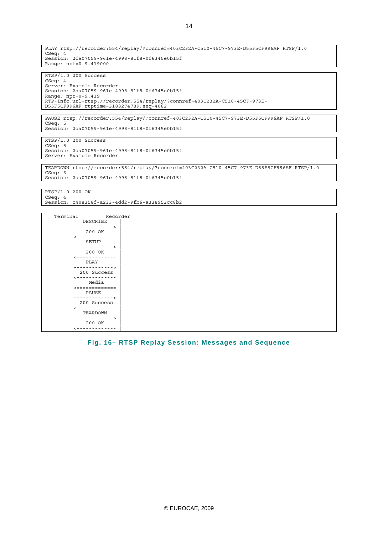PLAY rtsp://recorder:554/replay/?connref=403C232A-C510-45C7-973E-D55F5CF996AF RTSP/1.0 CSeq: 4 Session: 2da07059-961e-4998-81f8-0f6345e0b15f Range: npt=0-9.419000

 $RTSP/1.0200$  Success CSeq: 4 Server: Example Recorder Session: 2da07059-961e-4998-81f8-0f6345e0b15f Range: npt=0-9.419 RTP-Info:url=rtsp://recorder:554/replay/?connref=403C232A-C510-45C7-973E-D55F5CF996AF;rtptime=3188274789;seq=4082

PAUSE rtsp://recorder:554/replay/?connref=403C232A-C510-45C7-973E-D55F5CF996AF RTSP/1.0 CSeq: 5 Session: 2da07059-961e-4998-81f8-0f6345e0b15f

RTSP/1.0 200 Success CSeq: 5 Session: 2da07059-961e-4998-81f8-0f6345e0b15f Server: Example Recorder

TEARDOWN rtsp://recorder:554/replay/?connref=403C232A-C510-45C7-973E-D55F5CF996AF RTSP/1.0 CSeq: 6 Session: 2da07059-961e-4998-81f8-0f6345e0b15f

RTSP/1.0 200 OK CSeq: 4 Session: c408358f-a233-4dd2-9fb6-a338953cc8b2



#### **Fig. 16– RTSP Replay Session: Messages and Sequence**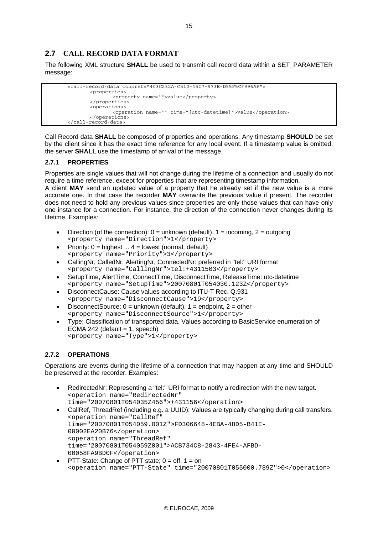## **2.7 CALL RECORD DATA FORMAT**

The following XML structure **SHALL** be used to transmit call record data within a SET\_PARAMETER message:

```
 <call-record-data connref="403C232A-C510-45C7-973E-D55F5CF996AF"> 
        <properties> 
                <property name="">value</property> 
        </properties> 
        <operations> 
                <operation name="" time="[utc-datetime]">value</operation> 
         </operations> 
 </call-record-data>
```
Call Record data **SHALL** be composed of properties and operations. Any timestamp **SHOULD** be set by the client since it has the exact time reference for any local event. If a timestamp value is omitted, the server **SHALL** use the timestamp of arrival of the message.

#### **2.7.1 PROPERTIES**

Properties are single values that will not change during the lifetime of a connection and usually do not require a time reference, except for properties that are representing timestamp information.

A client **MAY** send an updated value of a property that he already set if the new value is a more accurate one. In that case the recorder **MAY** overwrite the previous value if present. The recorder does not need to hold any previous values since properties are only those values that can have only one instance for a connection. For instance, the direction of the connection never changes during its lifetime. Examples:

- Direction (of the connection):  $0 =$  unknown (default),  $1 =$  incoming,  $2 =$  outgoing <property name="Direction">1</property>
- Priority:  $0 =$  highest  $\dots$  4 = lowest (normal, default) <property name="Priority">3</property>
- CallingNr, CalledNr, AlertingNr, ConnectedNr: preferred in "tel:" URI format <property name="CallingNr">tel:+4311503</property>
- SetupTime, AlertTime, ConnectTime, DisconnectTime, ReleaseTime: utc-datetime <property name="SetupTime">20070801T054030.123Z</property>
- DisconnectCause: Cause values according to ITU-T Rec. Q.931 <property name="DisconnectCause">19</property>
- DisconnectSource:  $0 =$  unknown (default),  $1 =$  endpoint,  $2 =$  other <property name="DisconnectSource">1</property>
- Type: Classification of transported data. Values according to BasicService enumeration of ECMA 242 (default  $= 1$ , speech) <property name="Type">1</property>

## **2.7.2 OPERATIONS**

Operations are events during the lifetime of a connection that may happen at any time and SHOULD be preserved at the recorder. Examples:

- RedirectedNr: Representing a "tel:" URI format to notify a redirection with the new target. <operation name="RedirectedNr" time="20070801T054035Z456">+431156</operation>
- CallRef, ThreadRef (including e.g. a UUID): Values are typically changing during call transfers. <operation name="CallRef" time="20070801T054059.001Z">FD306648-4EBA-48D5-B41E-00002EA20B76</operation> <operation name="ThreadRef" time="20070801T054059Z001">ACB734C8-2843-4FE4-AFBD-00058FA9BD0F</operation>
- PTT-State: Change of PTT state;  $0 = \text{off}, 1 = \text{on}$ <operation name="PTT-State" time="20070801T055000.789Z">0</operation>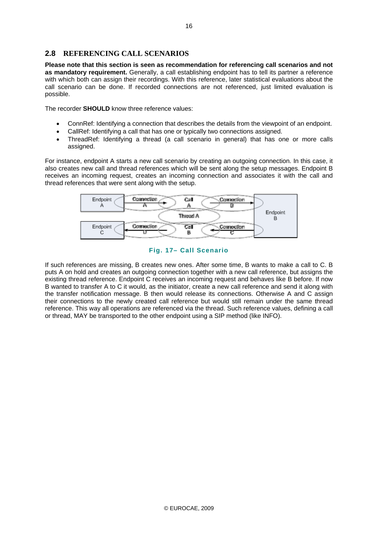## **2.8 REFERENCING CALL SCENARIOS**

**Please note that this section is seen as recommendation for referencing call scenarios and not as mandatory requirement.** Generally, a call establishing endpoint has to tell its partner a reference with which both can assign their recordings. With this reference, later statistical evaluations about the call scenario can be done. If recorded connections are not referenced, just limited evaluation is possible.

The recorder **SHOULD** know three reference values:

- ConnRef: Identifying a connection that describes the details from the viewpoint of an endpoint.
- CallRef: Identifying a call that has one or typically two connections assigned.
- ThreadRef: Identifying a thread (a call scenario in general) that has one or more calls assigned.

For instance, endpoint A starts a new call scenario by creating an outgoing connection. In this case, it also creates new call and thread references which will be sent along the setup messages. Endpoint B receives an incoming request, creates an incoming connection and associates it with the call and thread references that were sent along with the setup.



**Fig. 17– Call Scenario** 

If such references are missing, B creates new ones. After some time, B wants to make a call to C. B puts A on hold and creates an outgoing connection together with a new call reference, but assigns the existing thread reference. Endpoint C receives an incoming request and behaves like B before. If now B wanted to transfer A to C it would, as the initiator, create a new call reference and send it along with the transfer notification message. B then would release its connections. Otherwise A and C assign their connections to the newly created call reference but would still remain under the same thread reference. This way all operations are referenced via the thread. Such reference values, defining a call or thread, MAY be transported to the other endpoint using a SIP method (like INFO).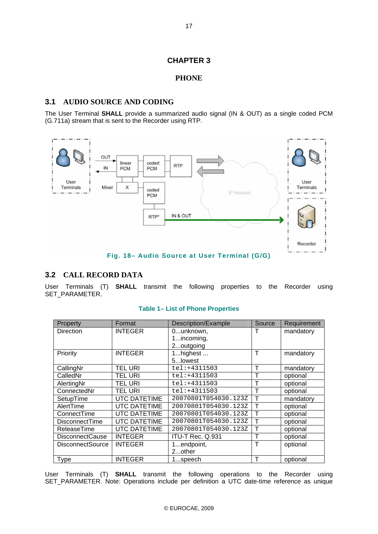## **CHAPTER 3**

#### **PHONE**

#### **3.1 AUDIO SOURCE AND CODING**

The User Terminal **SHALL** provide a summarized audio signal (IN & OUT) as a single coded PCM (G.711a) stream that is sent to the Recorder using RTP.



## **3.2 CALL RECORD DATA**

User Terminals (T) **SHALL** transmit the following properties to the Recorder using SET\_PARAMETER.

| Property                | Format              | Description/Example  | Source       | Requirement |
|-------------------------|---------------------|----------------------|--------------|-------------|
| <b>Direction</b>        | <b>INTEGER</b>      | 0unknown,            |              | mandatory   |
|                         |                     | 1incoming,           |              |             |
|                         |                     | 2outgoing            |              |             |
| Priority                | <b>INTEGER</b>      | 1highest             | Τ            | mandatory   |
|                         |                     | 5lowest              |              |             |
| CallingNr               | <b>TEL URI</b>      | $tel: +4311503$      | Т            | mandatory   |
| CalledNr                | TEL URI             | $tel: +4311503$      | т            | optional    |
| AlertingNr              | TEL URI             | $tel: +4311503$      | т            | optional    |
| ConnectedNr             | <b>TEL URI</b>      | $tel: +4311503$      | Т            | optional    |
| SetupTime               | <b>UTC DATETIME</b> | 20070801T054030.123Z | Т            | mandatory   |
| AlertTime               | <b>UTC DATETIME</b> | 20070801T054030.123Z | T            | optional    |
| ConnectTime             | <b>UTC DATETIME</b> | 20070801T054030.123Z | $\top$       | optional    |
| <b>DisconnectTime</b>   | <b>UTC DATETIME</b> | 20070801T054030.123Z | $\top$       | optional    |
| ReleaseTime             | <b>UTC DATETIME</b> | 20070801T054030.123Z | $\mathsf{T}$ | optional    |
| <b>DisconnectCause</b>  | <b>INTEGER</b>      | ITU-T Rec. Q.931     | Т            | optional    |
| <b>DisconnectSource</b> | <b>INTEGER</b>      | 1endpoint,           | Т            | optional    |
|                         |                     | 2other               |              |             |
| Type                    | <b>INTEGER</b>      | 1…speech             | Т            | optional    |

#### **Table 1– List of Phone Properties**

User Terminals (T) **SHALL** transmit the following operations to the Recorder using SET\_PARAMETER. Note: Operations include per definition a UTC date-time reference as unique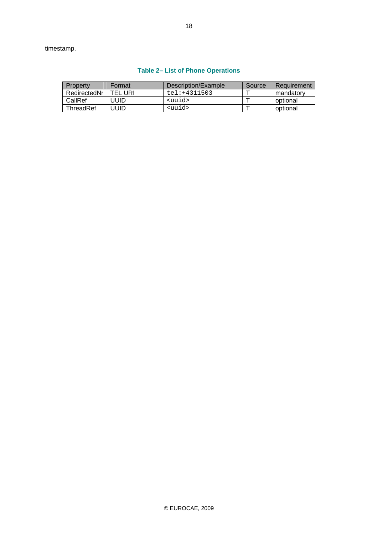timestamp.

| Property     | Format  | Description/Example | Source | Requirement |
|--------------|---------|---------------------|--------|-------------|
| RedirectedNr | TEL URI | tel:+4311503        |        | mandatory   |
| CallRef      | JUID    | <uuid></uuid>       |        | optional    |
| ThreadRef    | JUID    | <uuid></uuid>       |        | optional    |

#### **Table 2– List of Phone Operations**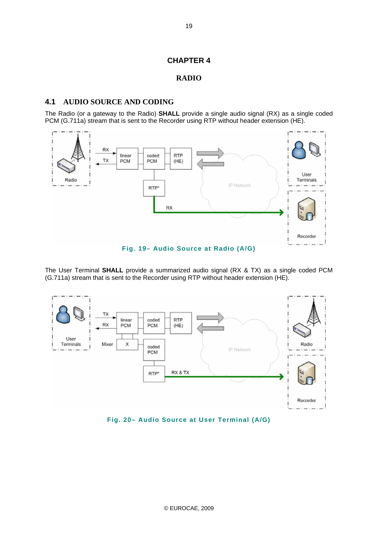## **CHAPTER 4**

#### **RADIO**

#### **4.1 AUDIO SOURCE AND CODING**

The Radio (or a gateway to the Radio) **SHALL** provide a single audio signal (RX) as a single coded PCM (G.711a) stream that is sent to the Recorder using RTP without header extension (HE).



**Fig. 19– Audio Source at Radio (A/G)** 

The User Terminal **SHALL** provide a summarized audio signal (RX & TX) as a single coded PCM (G.711a) stream that is sent to the Recorder using RTP without header extension (HE).



**Fig. 20– Audio Source at User Terminal (A/G)**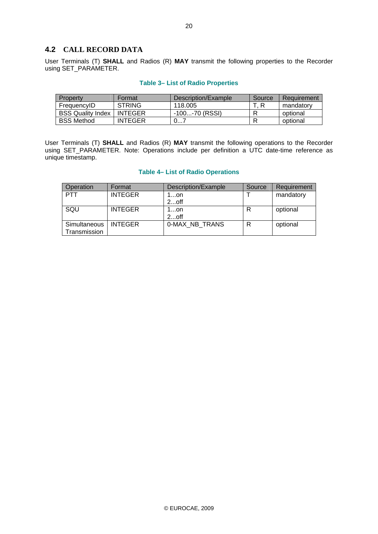## **4.2 CALL RECORD DATA**

User Terminals (T) **SHALL** and Radios (R) **MAY** transmit the following properties to the Recorder using SET\_PARAMETER.

| Property                 | Format         | Description/Example | Source | Requirement |
|--------------------------|----------------|---------------------|--------|-------------|
| FrequencyID              | <b>STRING</b>  | 118.005             |        | mandatory   |
| <b>BSS Quality Index</b> | <b>INTEGER</b> | -100-70 (RSSI)      |        | optional    |
| <b>BSS Method</b>        | <b>INTEGER</b> | ∪≀                  |        | optional    |

#### **Table 3– List of Radio Properties**

User Terminals (T) **SHALL** and Radios (R) **MAY** transmit the following operations to the Recorder using SET\_PARAMETER. Note: Operations include per definition a UTC date-time reference as unique timestamp.

#### **Table 4– List of Radio Operations**

| Operation                              | Format         | Description/Example | Source | Requirement |
|----------------------------------------|----------------|---------------------|--------|-------------|
| <b>PTT</b>                             | <b>INTEGER</b> | 1…on                |        | mandatory   |
|                                        |                | $2$ off             |        |             |
| SQU                                    | <b>INTEGER</b> | 1…on                | R      | optional    |
|                                        |                | $2$ off             |        |             |
| Simultaneous   INTEGER<br>Transmission |                | 0-MAX NB TRANS      | R      | optional    |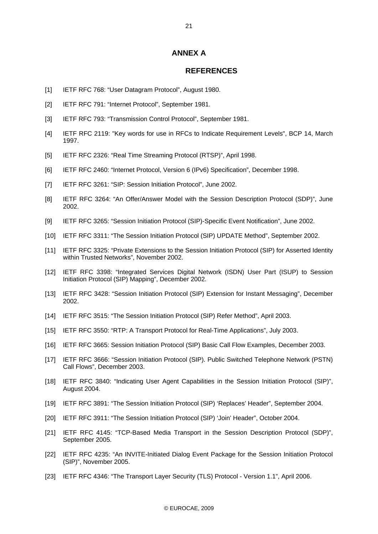#### **ANNEX A**

#### **REFERENCES**

- [1] IETF RFC 768: "User Datagram Protocol", August 1980.
- [2] IETF RFC 791: "Internet Protocol", September 1981.
- [3] IETF RFC 793: "Transmission Control Protocol", September 1981.
- [4] IETF RFC 2119: "Key words for use in RFCs to Indicate Requirement Levels", BCP 14, March 1997.
- [5] IETF RFC 2326: "Real Time Streaming Protocol (RTSP)", April 1998.
- [6] IETF RFC 2460: "Internet Protocol, Version 6 (IPv6) Specification", December 1998.
- [7] IETF RFC 3261: "SIP: Session Initiation Protocol", June 2002.
- [8] IETF RFC 3264: "An Offer/Answer Model with the Session Description Protocol (SDP)", June 2002.
- [9] IETF RFC 3265: "Session Initiation Protocol (SIP)-Specific Event Notification", June 2002.
- [10] IETF RFC 3311: "The Session Initiation Protocol (SIP) UPDATE Method", September 2002.
- [11] IETF RFC 3325: "Private Extensions to the Session Initiation Protocol (SIP) for Asserted Identity within Trusted Networks", November 2002.
- [12] IETF RFC 3398: "Integrated Services Digital Network (ISDN) User Part (ISUP) to Session Initiation Protocol (SIP) Mapping", December 2002.
- [13] IETF RFC 3428: "Session Initiation Protocol (SIP) Extension for Instant Messaging", December 2002.
- [14] IETF RFC 3515: "The Session Initiation Protocol (SIP) Refer Method", April 2003.
- [15] IETF RFC 3550: "RTP: A Transport Protocol for Real-Time Applications", July 2003.
- [16] IETF RFC 3665: Session Initiation Protocol (SIP) Basic Call Flow Examples, December 2003.
- [17] IETF RFC 3666: "Session Initiation Protocol (SIP). Public Switched Telephone Network (PSTN) Call Flows", December 2003.
- [18] IETF RFC 3840: "Indicating User Agent Capabilities in the Session Initiation Protocol (SIP)", August 2004.
- [19] IETF RFC 3891: "The Session Initiation Protocol (SIP) 'Replaces' Header", September 2004.
- [20] IETF RFC 3911: "The Session Initiation Protocol (SIP) 'Join' Header", October 2004.
- [21] IETF RFC 4145: "TCP-Based Media Transport in the Session Description Protocol (SDP)", September 2005.
- [22] IETF RFC 4235: "An INVITE-Initiated Dialog Event Package for the Session Initiation Protocol (SIP)", November 2005.
- [23] IETF RFC 4346: "The Transport Layer Security (TLS) Protocol Version 1.1", April 2006.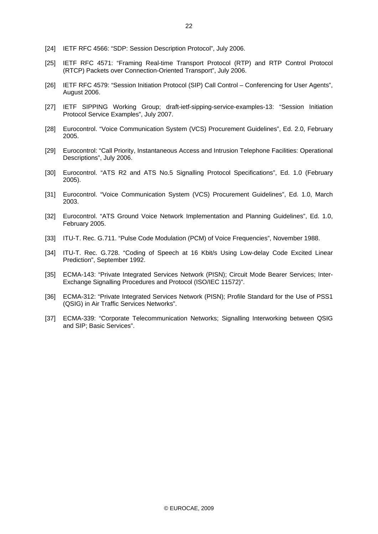- [24] IETF RFC 4566: "SDP: Session Description Protocol", July 2006.
- [25] IETF RFC 4571: "Framing Real-time Transport Protocol (RTP) and RTP Control Protocol (RTCP) Packets over Connection-Oriented Transport", July 2006.
- [26] IETF RFC 4579: "Session Initiation Protocol (SIP) Call Control Conferencing for User Agents", August 2006.
- [27] IETF SIPPING Working Group; draft-ietf-sipping-service-examples-13: "Session Initiation Protocol Service Examples", July 2007.
- [28] Eurocontrol. "Voice Communication System (VCS) Procurement Guidelines", Ed. 2.0, February 2005.
- [29] Eurocontrol: "Call Priority, Instantaneous Access and Intrusion Telephone Facilities: Operational Descriptions", July 2006.
- [30] Eurocontrol. "ATS R2 and ATS No.5 Signalling Protocol Specifications", Ed. 1.0 (February 2005).
- [31] Eurocontrol. "Voice Communication System (VCS) Procurement Guidelines", Ed. 1.0, March 2003.
- [32] Eurocontrol. "ATS Ground Voice Network Implementation and Planning Guidelines", Ed. 1.0, February 2005.
- [33] ITU-T. Rec. G.711. "Pulse Code Modulation (PCM) of Voice Frequencies", November 1988.
- [34] ITU-T. Rec. G.728. "Coding of Speech at 16 Kbit/s Using Low-delay Code Excited Linear Prediction", September 1992.
- [35] ECMA-143: "Private Integrated Services Network (PISN); Circuit Mode Bearer Services; Inter-Exchange Signalling Procedures and Protocol (ISO/IEC 11572)".
- [36] ECMA-312: "Private Integrated Services Network (PISN); Profile Standard for the Use of PSS1 (QSIG) in Air Traffic Services Networks".
- [37] ECMA-339: "Corporate Telecommunication Networks; Signalling Interworking between QSIG and SIP; Basic Services".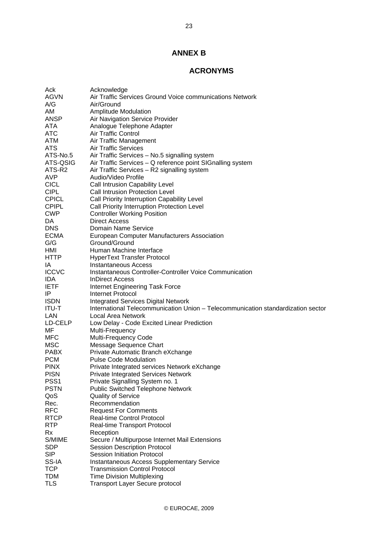## **ANNEX B**

## **ACRONYMS**

| Ack              | Acknowledge                                                                      |
|------------------|----------------------------------------------------------------------------------|
| <b>AGVN</b>      | Air Traffic Services Ground Voice communications Network                         |
| A/G              | Air/Ground                                                                       |
| AM               | <b>Amplitude Modulation</b>                                                      |
| ANSP             | Air Navigation Service Provider                                                  |
| ATA              | Analogue Telephone Adapter                                                       |
| <b>ATC</b>       | Air Traffic Control                                                              |
| <b>ATM</b>       | Air Traffic Management                                                           |
| <b>ATS</b>       | <b>Air Traffic Services</b>                                                      |
| ATS-No.5         | Air Traffic Services - No.5 signalling system                                    |
| ATS-QSIG         | Air Traffic Services - Q reference point SIGnalling system                       |
| ATS-R2           | Air Traffic Services - R2 signalling system                                      |
| <b>AVP</b>       | Audio/Video Profile                                                              |
| <b>CICL</b>      | Call Intrusion Capability Level                                                  |
| <b>CIPL</b>      | <b>Call Intrusion Protection Level</b>                                           |
| <b>CPICL</b>     | Call Priority Interruption Capability Level                                      |
| <b>CPIPL</b>     | Call Priority Interruption Protection Level                                      |
| <b>CWP</b>       | <b>Controller Working Position</b>                                               |
| DA               | <b>Direct Access</b>                                                             |
| <b>DNS</b>       | Domain Name Service                                                              |
| <b>ECMA</b>      | <b>European Computer Manufacturers Association</b>                               |
| G/G              | Ground/Ground                                                                    |
| HMI              | Human Machine Interface                                                          |
| <b>HTTP</b>      | <b>HyperText Transfer Protocol</b>                                               |
| IA               | Instantaneous Access                                                             |
| <b>ICCVC</b>     | Instantaneous Controller-Controller Voice Communication                          |
| IDA              | <b>InDirect Access</b>                                                           |
| <b>IETF</b>      | Internet Engineering Task Force                                                  |
| IP               | Internet Protocol                                                                |
| <b>ISDN</b>      | <b>Integrated Services Digital Network</b>                                       |
| ITU-T            | International Telecommunication Union - Telecommunication standardization sector |
| LAN              | <b>Local Area Network</b>                                                        |
| LD-CELP          | Low Delay - Code Excited Linear Prediction                                       |
| MF               | Multi-Frequency                                                                  |
| MFC              | Multi-Frequency Code                                                             |
| <b>MSC</b>       | Message Sequence Chart                                                           |
| <b>PABX</b>      | Private Automatic Branch eXchange                                                |
| <b>PCM</b>       | <b>Pulse Code Modulation</b>                                                     |
| <b>PINX</b>      | Private Integrated services Network eXchange                                     |
| <b>PISN</b>      | <b>Private Integrated Services Network</b>                                       |
| PSS <sub>1</sub> | Private Signalling System no. 1                                                  |
| <b>PSTN</b>      | <b>Public Switched Telephone Network</b>                                         |
| QoS              | <b>Quality of Service</b>                                                        |
| Rec.             | Recommendation                                                                   |
| <b>RFC</b>       | <b>Request For Comments</b>                                                      |
| <b>RTCP</b>      | Real-time Control Protocol                                                       |
| <b>RTP</b>       | Real-time Transport Protocol                                                     |
| Rx               | Reception                                                                        |
| S/MIME           | Secure / Multipurpose Internet Mail Extensions                                   |
| <b>SDP</b>       | <b>Session Description Protocol</b>                                              |
| <b>SIP</b>       | Session Initiation Protocol                                                      |
| SS-IA            | <b>Instantaneous Access Supplementary Service</b>                                |
| <b>TCP</b>       | <b>Transmission Control Protocol</b>                                             |
| <b>TDM</b>       | <b>Time Division Multiplexing</b>                                                |
| TLS              | <b>Transport Layer Secure protocol</b>                                           |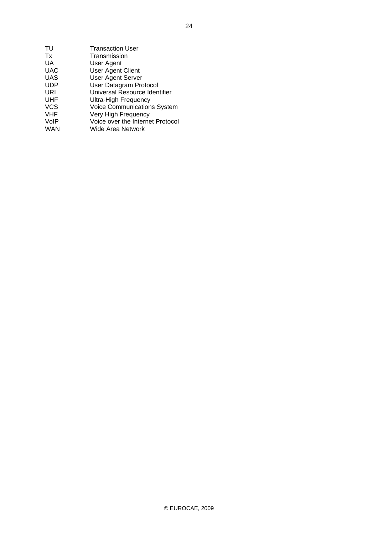| TU         | <b>Transaction User</b>          |
|------------|----------------------------------|
| Tx         | Transmission                     |
| UA         | User Agent                       |
| <b>UAC</b> | <b>User Agent Client</b>         |
| <b>UAS</b> | <b>User Agent Server</b>         |
| <b>UDP</b> | User Datagram Protocol           |
| URI        | Universal Resource Identifier    |
| <b>UHF</b> | <b>Ultra-High Frequency</b>      |
| <b>VCS</b> | Voice Communications System      |
| <b>VHF</b> | Very High Frequency              |
| VoIP       | Voice over the Internet Protocol |
| <b>WAN</b> | Wide Area Network                |